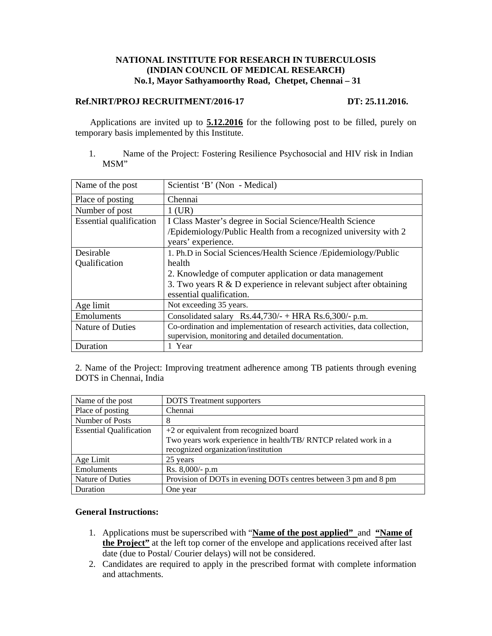# **NATIONAL INSTITUTE FOR RESEARCH IN TUBERCULOSIS (INDIAN COUNCIL OF MEDICAL RESEARCH) No.1, Mayor Sathyamoorthy Road, Chetpet, Chennai – 31**

### **Ref.NIRT/PROJ RECRUITMENT/2016-17 DT: 25.11.2016.**

Applications are invited up to **5.12.2016** for the following post to be filled, purely on temporary basis implemented by this Institute.

1. Name of the Project: Fostering Resilience Psychosocial and HIV risk in Indian MSM"

| Name of the post               | Scientist 'B' (Non - Medical)                                              |
|--------------------------------|----------------------------------------------------------------------------|
| Place of posting               | Chennai                                                                    |
| Number of post                 | $1$ (UR)                                                                   |
| <b>Essential qualification</b> | I Class Master's degree in Social Science/Health Science                   |
|                                | /Epidemiology/Public Health from a recognized university with 2            |
|                                | years' experience.                                                         |
| Desirable                      | 1. Ph.D in Social Sciences/Health Science / Epidemiology/Public            |
| Qualification                  | health                                                                     |
|                                | 2. Knowledge of computer application or data management                    |
|                                | 3. Two years $R \& D$ experience in relevant subject after obtaining       |
|                                | essential qualification.                                                   |
| Age limit                      | Not exceeding 35 years.                                                    |
| Emoluments                     | Consolidated salary $\text{Rs.44,730}/+ \text{HRA Rs.6,300}/- \text{p.m.}$ |
| Nature of Duties               | Co-ordination and implementation of research activities, data collection,  |
|                                | supervision, monitoring and detailed documentation.                        |
| Duration                       | 1 Year                                                                     |

2. Name of the Project: Improving treatment adherence among TB patients through evening DOTS in Chennai, India

| Name of the post               | <b>DOTS</b> Treatment supporters                                |
|--------------------------------|-----------------------------------------------------------------|
| Place of posting               | Chennai                                                         |
| Number of Posts                | 8                                                               |
| <b>Essential Qualification</b> | +2 or equivalent from recognized board                          |
|                                | Two years work experience in health/TB/RNTCP related work in a  |
|                                | recognized organization/institution                             |
| Age Limit                      | 25 years                                                        |
| Emoluments                     | Rs. 8,000/- p.m                                                 |
| Nature of Duties               | Provision of DOTs in evening DOTs centres between 3 pm and 8 pm |
| Duration                       | One year                                                        |

### **General Instructions:**

- 1. Applications must be superscribed with "**Name of the post applied"** and **"Name of the Project"** at the left top corner of the envelope and applications received after last date (due to Postal/ Courier delays) will not be considered.
- 2. Candidates are required to apply in the prescribed format with complete information and attachments.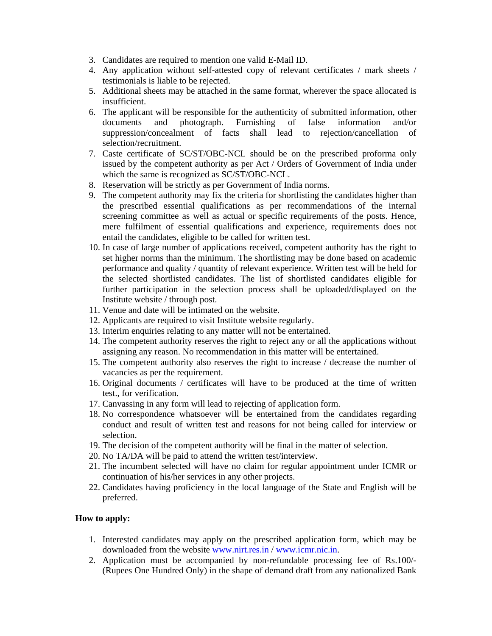- 3. Candidates are required to mention one valid E-Mail ID.
- 4. Any application without self-attested copy of relevant certificates / mark sheets / testimonials is liable to be rejected.
- 5. Additional sheets may be attached in the same format, wherever the space allocated is insufficient.
- 6. The applicant will be responsible for the authenticity of submitted information, other documents and photograph. Furnishing of false information and/or suppression/concealment of facts shall lead to rejection/cancellation of selection/recruitment.
- 7. Caste certificate of SC/ST/OBC-NCL should be on the prescribed proforma only issued by the competent authority as per Act / Orders of Government of India under which the same is recognized as SC/ST/OBC-NCL.
- 8. Reservation will be strictly as per Government of India norms.
- 9. The competent authority may fix the criteria for shortlisting the candidates higher than the prescribed essential qualifications as per recommendations of the internal screening committee as well as actual or specific requirements of the posts. Hence, mere fulfilment of essential qualifications and experience, requirements does not entail the candidates, eligible to be called for written test.
- 10. In case of large number of applications received, competent authority has the right to set higher norms than the minimum. The shortlisting may be done based on academic performance and quality / quantity of relevant experience. Written test will be held for the selected shortlisted candidates. The list of shortlisted candidates eligible for further participation in the selection process shall be uploaded/displayed on the Institute website / through post.
- 11. Venue and date will be intimated on the website.
- 12. Applicants are required to visit Institute website regularly.
- 13. Interim enquiries relating to any matter will not be entertained.
- 14. The competent authority reserves the right to reject any or all the applications without assigning any reason. No recommendation in this matter will be entertained.
- 15. The competent authority also reserves the right to increase / decrease the number of vacancies as per the requirement.
- 16. Original documents / certificates will have to be produced at the time of written test., for verification.
- 17. Canvassing in any form will lead to rejecting of application form.
- 18. No correspondence whatsoever will be entertained from the candidates regarding conduct and result of written test and reasons for not being called for interview or selection.
- 19. The decision of the competent authority will be final in the matter of selection.
- 20. No TA/DA will be paid to attend the written test/interview.
- 21. The incumbent selected will have no claim for regular appointment under ICMR or continuation of his/her services in any other projects.
- 22. Candidates having proficiency in the local language of the State and English will be preferred.

# **How to apply:**

- 1. Interested candidates may apply on the prescribed application form, which may be downloaded from the website www.nirt.res.in / www.icmr.nic.in.
- 2. Application must be accompanied by non-refundable processing fee of Rs.100/- (Rupees One Hundred Only) in the shape of demand draft from any nationalized Bank